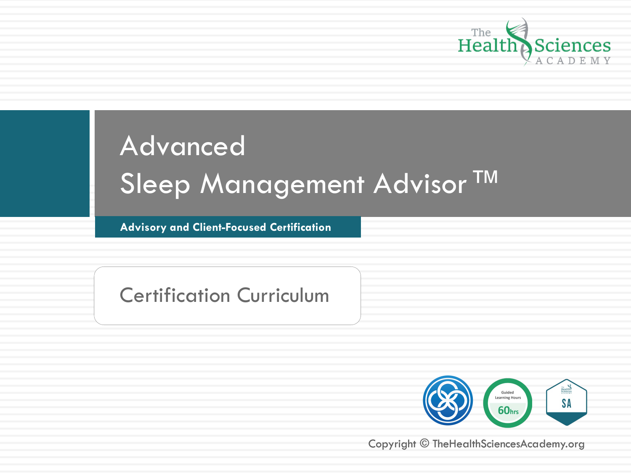

**Advisory and Client** Advisory-based certification **-Focused Certification**

Certification Curriculum



Copyright © TheHealthSciencesAcademy.org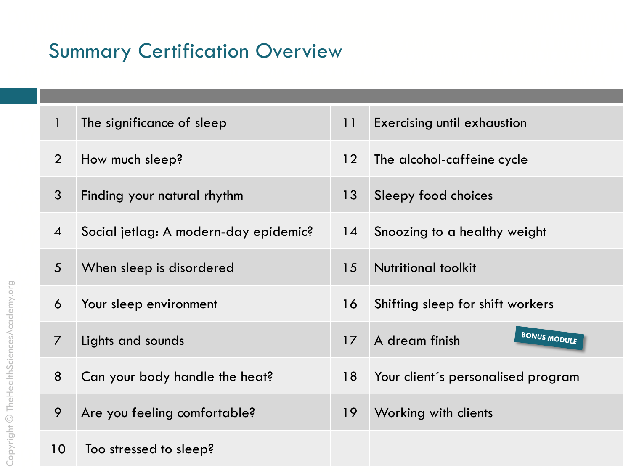#### **Summary Certification Overview**

| $\mathbf{1}$     | The significance of sleep             | 11 | <b>Exercising until exhaustion</b>    |
|------------------|---------------------------------------|----|---------------------------------------|
| $\overline{2}$   | How much sleep?                       | 12 | The alcohol-caffeine cycle            |
| $\mathfrak{Z}$   | Finding your natural rhythm           | 13 | Sleepy food choices                   |
| $\boldsymbol{4}$ | Social jetlag: A modern-day epidemic? | 14 | Snoozing to a healthy weight          |
| 5                | When sleep is disordered              | 15 | <b>Nutritional toolkit</b>            |
| 6                | Your sleep environment                | 16 | Shifting sleep for shift workers      |
| $\overline{7}$   | Lights and sounds                     | 17 | <b>BONUS MODULE</b><br>A dream finish |
| 8                | Can your body handle the heat?        | 18 | Your client's personalised program    |
| 9                | Are you feeling comfortable?          | 19 | Working with clients                  |
| 10               | Too stressed to sleep?                |    |                                       |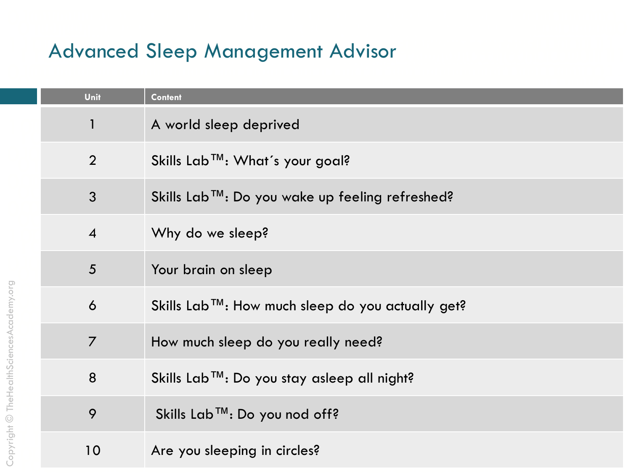| Unit                | <b>Content</b>                                          |
|---------------------|---------------------------------------------------------|
| $\mathbf{1}$        | A world sleep deprived                                  |
| 2                   | Skills Lab <sup>™</sup> : What's your goal?             |
| $\mathfrak{Z}$      | Skills Lab™: Do you wake up feeling refreshed?          |
| $\overline{4}$      | Why do we sleep?                                        |
| 5                   | Your brain on sleep                                     |
| $\ddot{\mathbf{6}}$ | Skills Lab™: How much sleep do you actually get?        |
| $\overline{7}$      | How much sleep do you really need?                      |
| 8                   | Skills Lab <sup>™</sup> : Do you stay asleep all night? |
| 9                   | Skills Lab™: Do you nod off?                            |
| 10                  | Are you sleeping in circles?                            |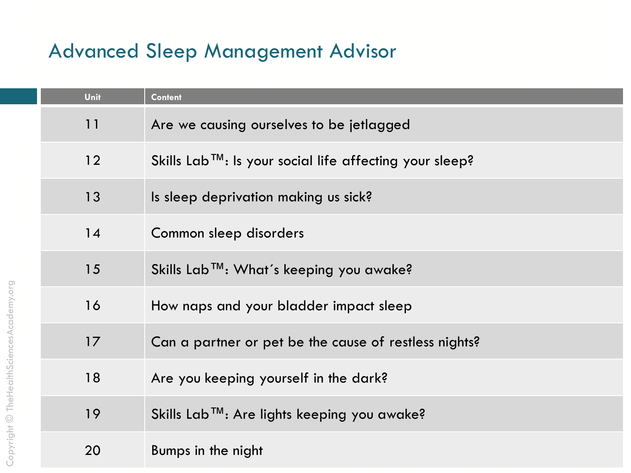| Unit | <b>Content</b>                                                       |
|------|----------------------------------------------------------------------|
| 11   | Are we causing ourselves to be jetlagged                             |
| 12   | Skills Lab <sup>TM</sup> : Is your social life affecting your sleep? |
| 13   | Is sleep deprivation making us sick?                                 |
| 14   | Common sleep disorders                                               |
| 15   | Skills Lab™: What's keeping you awake?                               |
| 16   | How naps and your bladder impact sleep                               |
| 17   | Can a partner or pet be the cause of restless nights?                |
| 18   | Are you keeping yourself in the dark?                                |
| 19   | Skills Lab™: Are lights keeping you awake?                           |
| 20   | Bumps in the night                                                   |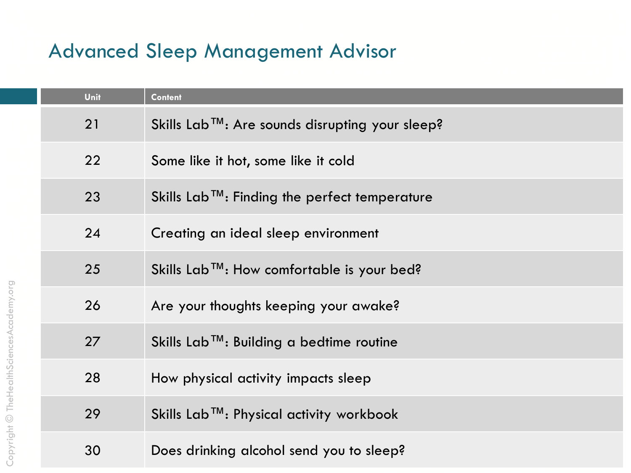| Unit | <b>Content</b>                                             |
|------|------------------------------------------------------------|
| 21   | Skills Lab™: Are sounds disrupting your sleep?             |
| 22   | Some like it hot, some like it cold                        |
| 23   | Skills Lab <sup>TM</sup> : Finding the perfect temperature |
| 24   | Creating an ideal sleep environment                        |
| 25   | Skills Lab <sup>TM</sup> : How comfortable is your bed?    |
| 26   | Are your thoughts keeping your awake?                      |
| 27   | Skills Lab™: Building a bedtime routine                    |
| 28   | How physical activity impacts sleep                        |
| 29   | Skills Lab™: Physical activity workbook                    |
| 30   | Does drinking alcohol send you to sleep?                   |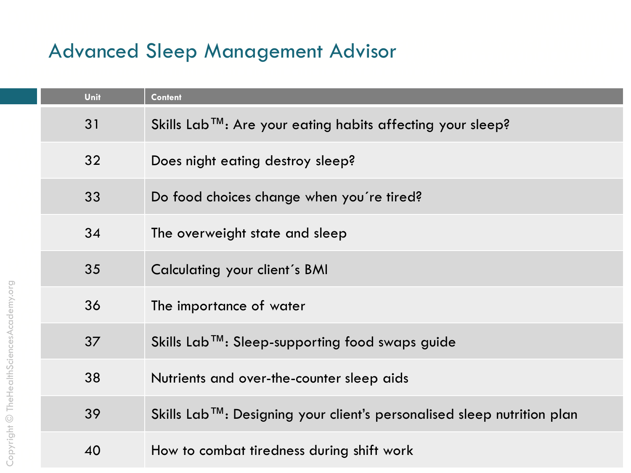| Unit | <b>Content</b>                                                         |
|------|------------------------------------------------------------------------|
| 31   | Skills Lab™: Are your eating habits affecting your sleep?              |
| 32   | Does night eating destroy sleep?                                       |
| 33   | Do food choices change when you're tired?                              |
| 34   | The overweight state and sleep                                         |
| 35   | Calculating your client's BMI                                          |
| 36   | The importance of water                                                |
| 37   | Skills Lab™: Sleep-supporting food swaps guide                         |
| 38   | Nutrients and over-the-counter sleep aids                              |
| 39   | Skills Lab™: Designing your client's personalised sleep nutrition plan |
| 40   | How to combat tiredness during shift work                              |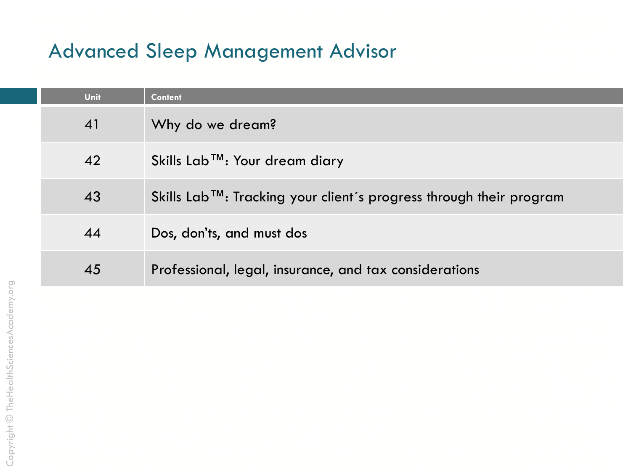| Unit | <b>Content</b>                                                                   |
|------|----------------------------------------------------------------------------------|
| 41   | Why do we dream?                                                                 |
| 42   | Skills Lab™: Your dream diary                                                    |
| 43   | Skills Lab <sup>TM</sup> : Tracking your client's progress through their program |
| 44   | Dos, don'ts, and must dos                                                        |
| 45   | Professional, legal, insurance, and tax considerations                           |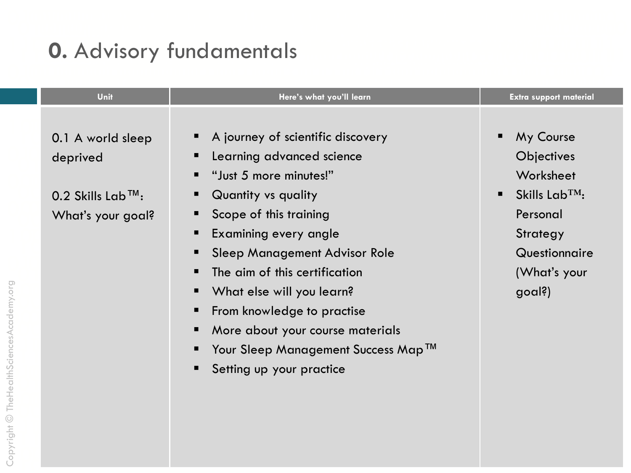# **0.** Advisory fundamentals

| Unit                                                                                   | Here's what you'll learn                                                                                                                                                                                                                                                                                                                                                                                                                                                       | <b>Extra support material</b>                                                                                                                           |
|----------------------------------------------------------------------------------------|--------------------------------------------------------------------------------------------------------------------------------------------------------------------------------------------------------------------------------------------------------------------------------------------------------------------------------------------------------------------------------------------------------------------------------------------------------------------------------|---------------------------------------------------------------------------------------------------------------------------------------------------------|
| 0.1 A world sleep<br>deprived<br>$0.2$ Skills Lab <sup>TM</sup> :<br>What's your goal? | A journey of scientific discovery<br>Learning advanced science<br>"Just 5 more minutes!"<br>п<br><b>Quantity vs quality</b><br>ш<br>Scope of this training<br>Examining every angle<br>п<br>Sleep Management Advisor Role<br>п<br>The aim of this certification<br>п<br>What else will you learn?<br>$\blacksquare$<br>From knowledge to practise<br>ш<br>More about your course materials<br>$\blacksquare$<br>Your Sleep Management Success Map™<br>Setting up your practice | My Course<br>Objectives<br>Worksheet<br>Skills Lab <sup>TM</sup> :<br>$\blacksquare$<br>Personal<br>Strategy<br>Questionnaire<br>(What's your<br>goal?) |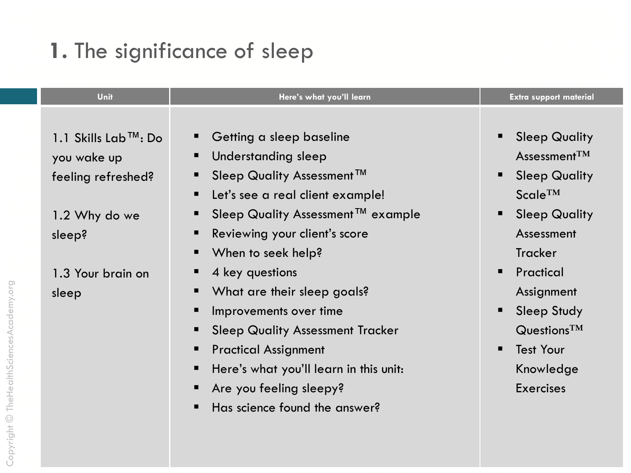#### 1. The significance of sleep

| <b>Unit</b>                                                                                                            | Here's what you'll learn                                                                                                                                                                                                                                                                                                                                                                                                                                                            | <b>Extra support material</b>                                                                                                                                                                                                                                                                                                                                              |
|------------------------------------------------------------------------------------------------------------------------|-------------------------------------------------------------------------------------------------------------------------------------------------------------------------------------------------------------------------------------------------------------------------------------------------------------------------------------------------------------------------------------------------------------------------------------------------------------------------------------|----------------------------------------------------------------------------------------------------------------------------------------------------------------------------------------------------------------------------------------------------------------------------------------------------------------------------------------------------------------------------|
| 1.1 Skills Lab $TM$ : Do<br>you wake up<br>feeling refreshed?<br>1.2 Why do we<br>sleep?<br>1.3 Your brain on<br>sleep | Getting a sleep baseline<br><b>Understanding sleep</b><br>Sleep Quality Assessment™<br>Let's see a real client example!<br>Sleep Quality Assessment™ example<br>Reviewing your client's score<br>■ When to seek help?<br>4 key questions<br>• What are their sleep goals?<br>Improvements over time<br><b>Sleep Quality Assessment Tracker</b><br><b>Practical Assignment</b><br>Here's what you'll learn in this unit:<br>Are you feeling sleepy?<br>Has science found the answer? | <b>Sleep Quality</b><br>п<br>Assessment $TM$<br><b>Sleep Quality</b><br>$\blacksquare$<br>$Scale^{TM}$<br><b>Sleep Quality</b><br>$\blacksquare$<br>Assessment<br><b>Tracker</b><br>Practical<br>$\blacksquare$<br>Assignment<br><b>Sleep Study</b><br>$\blacksquare$<br>$Q$ uestions <sup>TM</sup><br><b>Test Your</b><br>$\blacksquare$<br>Knowledge<br><b>Exercises</b> |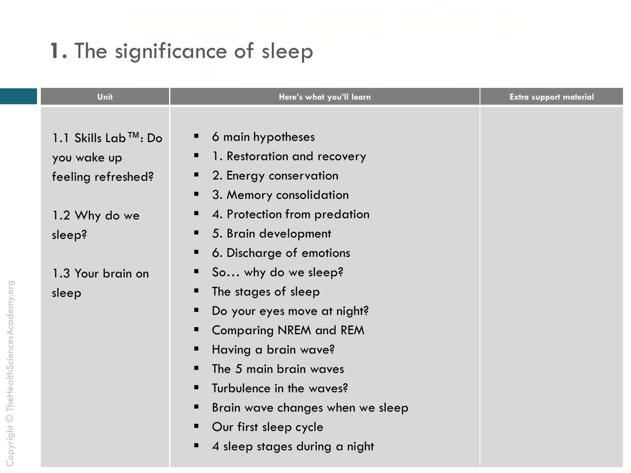#### 1. The significance of sleep

| Unit                               | Here's what you'll learn                                    | <b>Extra support material</b> |
|------------------------------------|-------------------------------------------------------------|-------------------------------|
| 1.1 Skills Lab™: Do<br>you wake up | 6 main hypotheses<br>ш<br>1. Restoration and recovery<br>п  |                               |
| feeling refreshed?                 | 2. Energy conservation<br>п<br>3. Memory consolidation<br>п |                               |
| 1.2 Why do we                      | 4. Protection from predation<br>п                           |                               |
| sleep?                             | 5. Brain development<br>п                                   |                               |
|                                    | 6. Discharge of emotions<br>п                               |                               |
| 1.3 Your brain on                  | So why do we sleep?<br>п                                    |                               |
| sleep                              | The stages of sleep<br>п                                    |                               |
|                                    | Do your eyes move at night?<br>п                            |                               |
|                                    | <b>Comparing NREM and REM</b><br>п                          |                               |
|                                    | Having a brain wave?<br>п                                   |                               |
|                                    | The 5 main brain waves<br>п                                 |                               |
|                                    | Turbulence in the waves?<br>п                               |                               |
|                                    | Brain wave changes when we sleep<br>п                       |                               |
|                                    | Our first sleep cycle<br>п                                  |                               |
|                                    | 4 sleep stages during a night<br>■                          |                               |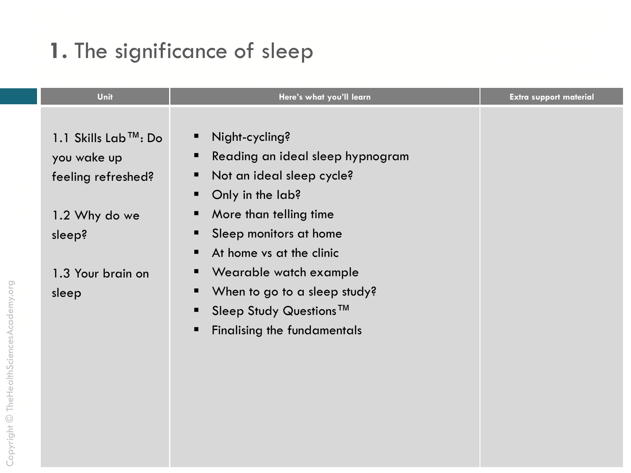#### 1. The significance of sleep

| Unit                                                                      | Here's what you'll learn                                                                                                                               | <b>Extra support material</b> |
|---------------------------------------------------------------------------|--------------------------------------------------------------------------------------------------------------------------------------------------------|-------------------------------|
| 1.1 Skills Lab™: Do<br>you wake up<br>feeling refreshed?<br>1.2 Why do we | Night-cycling?<br>ш<br>Reading an ideal sleep hypnogram<br>п<br>Not an ideal sleep cycle?<br>п<br>Only in the lab?<br>п<br>More than telling time<br>п |                               |
| sleep?                                                                    | Sleep monitors at home<br>■<br>At home vs at the clinic<br>п                                                                                           |                               |
| 1.3 Your brain on<br>sleep                                                | Wearable watch example<br>п<br>When to go to a sleep study?<br>п<br>Sleep Study Questions™<br>п<br><b>Finalising the fundamentals</b><br>п             |                               |
|                                                                           |                                                                                                                                                        |                               |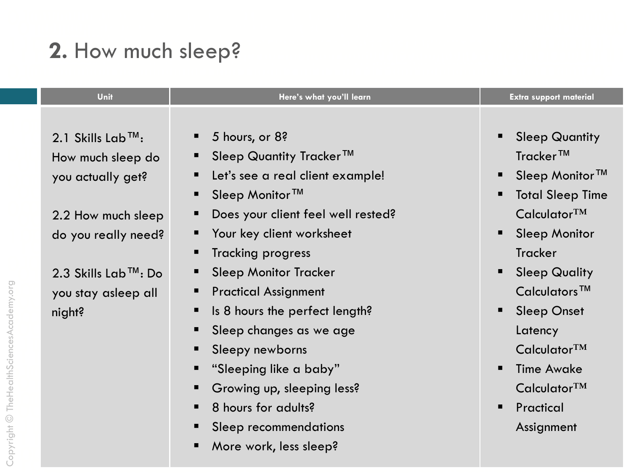# 2. How much sleep?

| Unit                             | Here's what you'll learn                     | <b>Extra support material</b>   |
|----------------------------------|----------------------------------------------|---------------------------------|
| 2.1 Skills Lab <sup>™</sup> :    | 5 hours, or 8?                               | <b>Sleep Quantity</b>           |
| How much sleep do                | Sleep Quantity Tracker™                      | Tracker™                        |
| you actually get?                | Let's see a real client example!<br>п        | Sleep Monitor <sup>™</sup><br>п |
|                                  | Sleep Monitor <sup>™</sup><br>п              | <b>Total Sleep Time</b><br>■    |
| 2.2 How much sleep               | Does your client feel well rested?           | Calculator <sup>TM</sup>        |
| do you really need?              | Your key client worksheet                    | <b>Sleep Monitor</b><br>п       |
|                                  | <b>Tracking progress</b><br>п                | Tracker                         |
| 2.3 Skills Lab <sup>™</sup> : Do | <b>Sleep Monitor Tracker</b>                 | <b>Sleep Quality</b><br>■       |
| you stay asleep all              | <b>Practical Assignment</b>                  | Calculators <sup>™</sup>        |
| night?                           | Is 8 hours the perfect length?               | <b>Sleep Onset</b><br>■         |
|                                  | Sleep changes as we age                      | Latency                         |
|                                  | Sleepy newborns<br>п                         | Calculator <sup>TM</sup>        |
|                                  | "Sleeping like a baby"<br>п                  | <b>Time Awake</b><br>п          |
|                                  | Growing up, sleeping less?<br>$\blacksquare$ | Calculator <sup>TM</sup>        |
|                                  | 8 hours for adults?                          | Practical<br>$\blacksquare$     |
|                                  | Sleep recommendations                        | Assignment                      |
|                                  | More work, less sleep?                       |                                 |

Copyright © TheHealthSciencesAcademy.org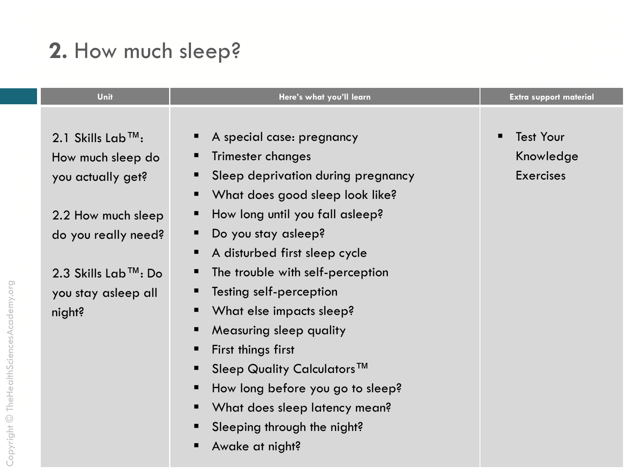# 2. How much sleep?

| Unit                                                                                                                                                                                      | Here's what you'll learn                                                                                                                                                                                                                                                                                                                                                                                                                                                           | <b>Extra support material</b>                     |
|-------------------------------------------------------------------------------------------------------------------------------------------------------------------------------------------|------------------------------------------------------------------------------------------------------------------------------------------------------------------------------------------------------------------------------------------------------------------------------------------------------------------------------------------------------------------------------------------------------------------------------------------------------------------------------------|---------------------------------------------------|
| 2.1 Skills Lab <sup>™</sup> :<br>How much sleep do<br>you actually get?<br>2.2 How much sleep<br>do you really need?<br>2.3 Skills Lab <sup>™</sup> : Do<br>you stay asleep all<br>night? | A special case: pregnancy<br>Trimester changes<br>Sleep deprivation during pregnancy<br>What does good sleep look like?<br>How long until you fall asleep?<br>Do you stay asleep?<br>A disturbed first sleep cycle<br>The trouble with self-perception<br>Testing self-perception<br>What else impacts sleep?<br>Measuring sleep quality<br>First things first<br>Sleep Quality Calculators <sup>™</sup><br>How long before you go to sleep?<br>What does sleep latency mean?<br>■ | <b>Test Your</b><br>Knowledge<br><b>Exercises</b> |
|                                                                                                                                                                                           | Sleeping through the night?<br>Awake at night?                                                                                                                                                                                                                                                                                                                                                                                                                                     |                                                   |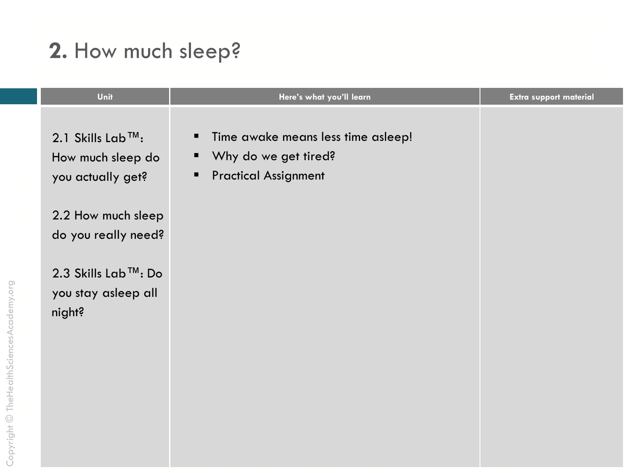# 2. How much sleep?

| Unit                                                                    | Here's what you'll learn                                                                                   | <b>Extra support material</b> |
|-------------------------------------------------------------------------|------------------------------------------------------------------------------------------------------------|-------------------------------|
| 2.1 Skills Lab <sup>™</sup> :<br>How much sleep do<br>you actually get? | Time awake means less time asleep!<br>л.<br>Why do we get tired?<br>н,<br><b>Practical Assignment</b><br>п |                               |
| 2.2 How much sleep<br>do you really need?                               |                                                                                                            |                               |
| 2.3 Skills Lab™: Do<br>you stay asleep all<br>night?                    |                                                                                                            |                               |
|                                                                         |                                                                                                            |                               |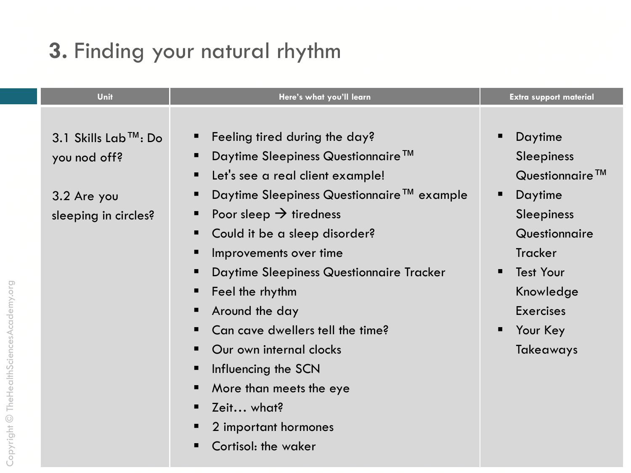# 3. Finding your natural rhythm

| Feeling tired during the day?<br>3.1 Skills Lab™: Do<br>Daytime<br>п<br>Daytime Sleepiness Questionnaire <sup>™</sup><br><b>Sleepiness</b><br>you nod off?<br>Let's see a real client example!<br>Questionnaire $TM$<br>$\blacksquare$<br>Daytime Sleepiness Questionnaire™ example<br>Daytime<br>п<br>3.2 Are you<br>Poor sleep $\rightarrow$ tiredness<br><b>Sleepiness</b><br>sleeping in circles?<br>Questionnaire<br>Could it be a sleep disorder?<br>ш<br><b>Tracker</b><br>Improvements over time<br><b>Test Your</b><br>Daytime Sleepiness Questionnaire Tracker<br>$\blacksquare$<br>Knowledge<br>Feel the rhythm<br>ш<br><b>Exercises</b><br>Around the day<br>Can cave dwellers tell the time?<br>Your Key<br>п<br>Our own internal clocks<br><b>Takeaways</b><br>Influencing the SCN<br>ш<br>More than meets the eye<br>Zeit what?<br>п<br>2 important hormones | Unit | Here's what you'll learn | <b>Extra support material</b> |
|-----------------------------------------------------------------------------------------------------------------------------------------------------------------------------------------------------------------------------------------------------------------------------------------------------------------------------------------------------------------------------------------------------------------------------------------------------------------------------------------------------------------------------------------------------------------------------------------------------------------------------------------------------------------------------------------------------------------------------------------------------------------------------------------------------------------------------------------------------------------------------|------|--------------------------|-------------------------------|
|                                                                                                                                                                                                                                                                                                                                                                                                                                                                                                                                                                                                                                                                                                                                                                                                                                                                             |      |                          |                               |
| Cortisol: the waker                                                                                                                                                                                                                                                                                                                                                                                                                                                                                                                                                                                                                                                                                                                                                                                                                                                         |      |                          |                               |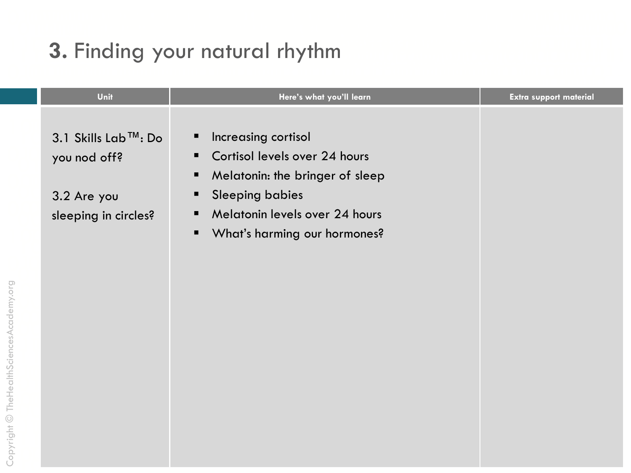# 3. Finding your natural rhythm

| Unit                                | Here's what you'll learn                                                                                            | <b>Extra support material</b> |
|-------------------------------------|---------------------------------------------------------------------------------------------------------------------|-------------------------------|
| 3.1 Skills Lab™: Do<br>you nod off? | Increasing cortisol<br>Ξ<br>Cortisol levels over 24 hours<br>$\blacksquare$<br>Melatonin: the bringer of sleep<br>п |                               |
| 3.2 Are you<br>sleeping in circles? | <b>Sleeping babies</b><br>п<br>Melatonin levels over 24 hours<br>п<br>What's harming our hormones?<br>п             |                               |
|                                     |                                                                                                                     |                               |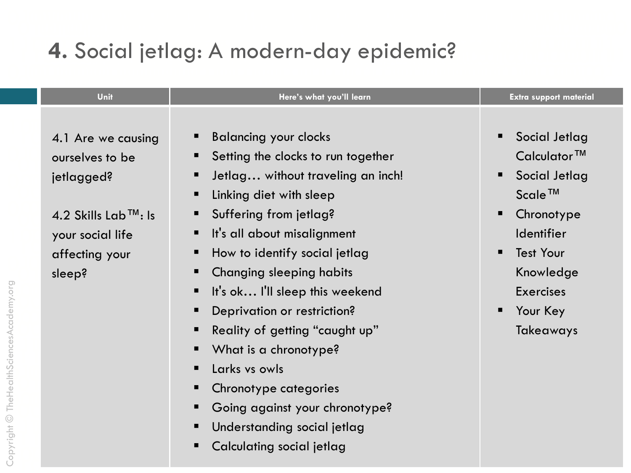# 4. Social jetlag: A modern-day epidemic?

 $\blacksquare$ 

| Unit                                                                       | Here's what you'll learn                                                                                                                                                                            | <b>Extra support material</b>                                                                                                 |
|----------------------------------------------------------------------------|-----------------------------------------------------------------------------------------------------------------------------------------------------------------------------------------------------|-------------------------------------------------------------------------------------------------------------------------------|
| 4.1 Are we causing<br>ourselves to be<br>jetlagged?<br>4.2 Skills Lab™: Is | <b>Balancing your clocks</b><br>Setting the clocks to run together<br>Jetlag without traveling an inch!<br>Linking diet with sleep<br>Suffering from jetlag?                                        | Social Jetlag<br>■<br>Calculator <sup>™</sup><br>Social Jetlag<br>п<br>$Scale^{TM}$<br>Chronotype<br>п                        |
| your social life<br>affecting your<br>sleep?                               | It's all about misalignment<br>How to identify social jetlag<br><b>Changing sleeping habits</b><br>It's ok I'll sleep this weekend<br>Deprivation or restriction?<br>Reality of getting "caught up" | <b>Identifier</b><br><b>Test Your</b><br>$\blacksquare$<br>Knowledge<br><b>Exercises</b><br>Your Key<br>п<br><b>Takeaways</b> |
|                                                                            | What is a chronotype?<br>Larks vs owls<br>Chronotype categories<br>Going against your chronotype?<br>Understanding social jetlag                                                                    |                                                                                                                               |

Calculating social jetlag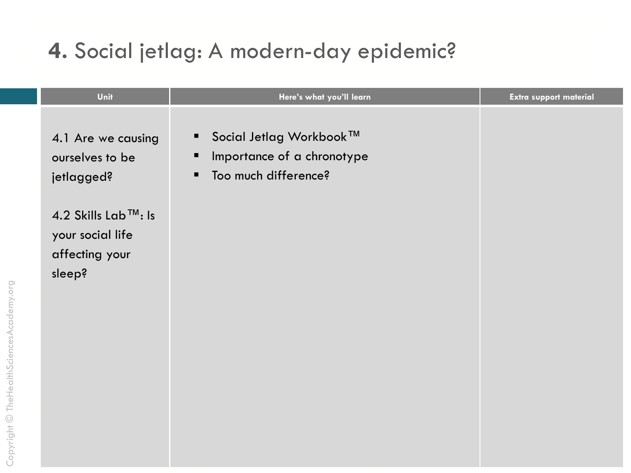## 4. Social jetlag: A modern-day epidemic?

| Unit                                                                | Here's what you'll learn                                                                                  | Extra support material |
|---------------------------------------------------------------------|-----------------------------------------------------------------------------------------------------------|------------------------|
| 4.1 Are we causing<br>ourselves to be<br>jetlagged?                 | Social Jetlag Workbook™<br>$\blacksquare$<br>Importance of a chronotype<br>п<br>Too much difference?<br>п |                        |
| 4.2 Skills Lab™: Is<br>your social life<br>affecting your<br>sleep? |                                                                                                           |                        |
|                                                                     |                                                                                                           |                        |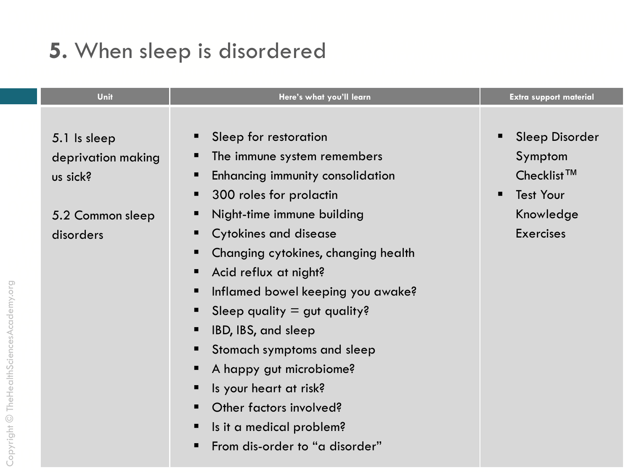#### 5. When sleep is disordered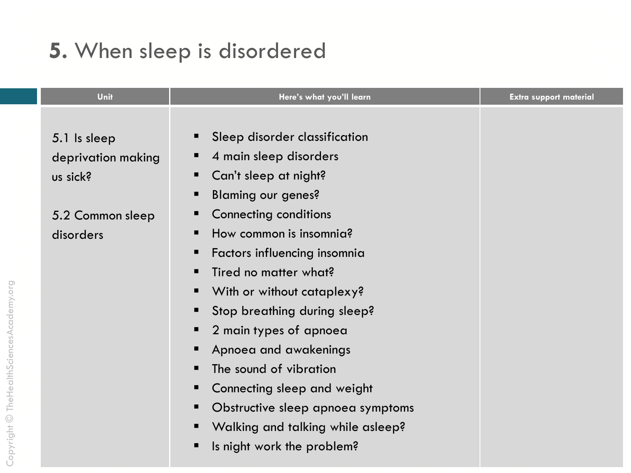#### 5. When sleep is disordered

| Unit               | Here's what you'll learn               | <b>Extra support material</b> |
|--------------------|----------------------------------------|-------------------------------|
|                    |                                        |                               |
| 5.1 Is sleep       | Sleep disorder classification          |                               |
| deprivation making | 4 main sleep disorders                 |                               |
| us sick?           | Can't sleep at night?                  |                               |
|                    | <b>Blaming our genes?</b><br>п         |                               |
| 5.2 Common sleep   | <b>Connecting conditions</b><br>ш      |                               |
| disorders          | How common is insomnia?                |                               |
|                    | Factors influencing insomnia           |                               |
|                    | Tired no matter what?<br>▪             |                               |
|                    | With or without cataplexy?             |                               |
|                    | Stop breathing during sleep?           |                               |
|                    | 2 main types of apnoea                 |                               |
|                    | Apnoea and awakenings                  |                               |
|                    | The sound of vibration                 |                               |
|                    | Connecting sleep and weight            |                               |
|                    | Obstructive sleep apnoea symptoms<br>ш |                               |
|                    | Walking and talking while asleep?      |                               |
|                    | Is night work the problem?             |                               |
|                    |                                        |                               |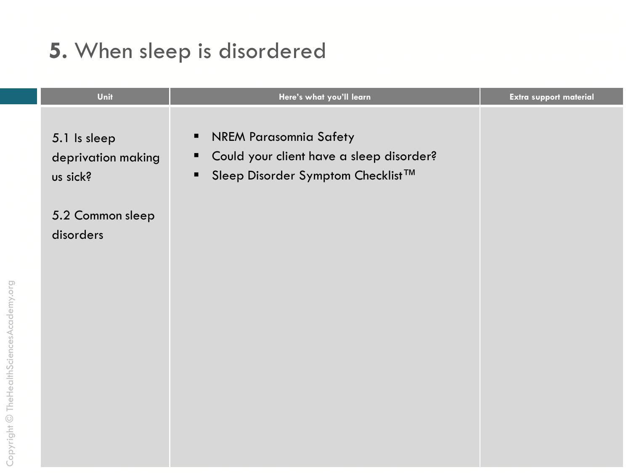# 5. When sleep is disordered

| Unit                                           | Here's what you'll learn                                                                                                                                | <b>Extra support material</b> |
|------------------------------------------------|---------------------------------------------------------------------------------------------------------------------------------------------------------|-------------------------------|
| 5.1 Is sleep<br>deprivation making<br>us sick? | <b>NREM Parasomnia Safety</b><br>$\blacksquare$<br>Could your client have a sleep disorder?<br>$\blacksquare$<br>Sleep Disorder Symptom Checklist™<br>٠ |                               |
| 5.2 Common sleep<br>disorders                  |                                                                                                                                                         |                               |
|                                                |                                                                                                                                                         |                               |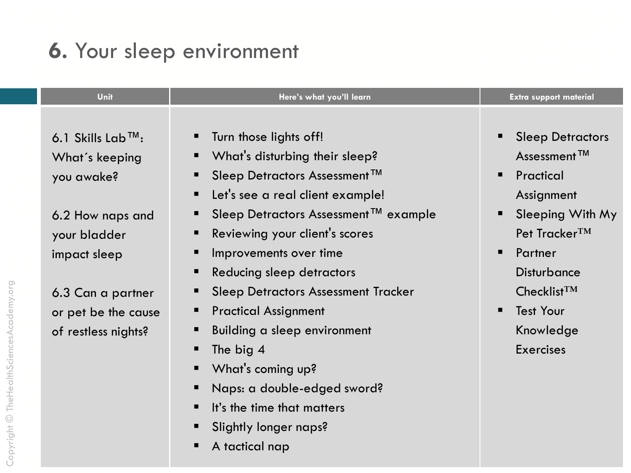#### 6. Your sleep environment

| Unit                           | Here's what you'll learn                           | <b>Extra support material</b> |
|--------------------------------|----------------------------------------------------|-------------------------------|
|                                |                                                    |                               |
| 6.1 Skills Lab <sup>TM</sup> : | Turn those lights off!                             | <b>Sleep Detractors</b>       |
| What's keeping                 | What's disturbing their sleep?<br>п                | Assessment <sup>TM</sup>      |
| you awake?                     | Sleep Detractors Assessment <sup>™</sup><br>п      | Practical<br>п                |
|                                | Let's see a real client example!<br>$\blacksquare$ | Assignment                    |
| 6.2 How naps and               | Sleep Detractors Assessment™ example<br>п          | Sleeping With My              |
| your bladder                   | Reviewing your client's scores<br>п                | Pet Tracker <sup>TM</sup>     |
| impact sleep                   | Improvements over time<br>п                        | Partner<br>▪                  |
|                                | Reducing sleep detractors<br>п                     | <b>Disturbance</b>            |
| 6.3 Can a partner              | <b>Sleep Detractors Assessment Tracker</b><br>п    | $Checklist^{TM}$              |
| or pet be the cause            | <b>Practical Assignment</b><br>п                   | <b>Test Your</b>              |
| of restless nights?            | Building a sleep environment<br>п                  | Knowledge                     |
|                                | The big 4<br>п                                     | <b>Exercises</b>              |
|                                | What's coming up?<br>$\blacksquare$                |                               |
|                                | Naps: a double-edged sword?<br>п                   |                               |
|                                | It's the time that matters<br>п                    |                               |
|                                | Slightly longer naps?<br>п                         |                               |

A tactical nap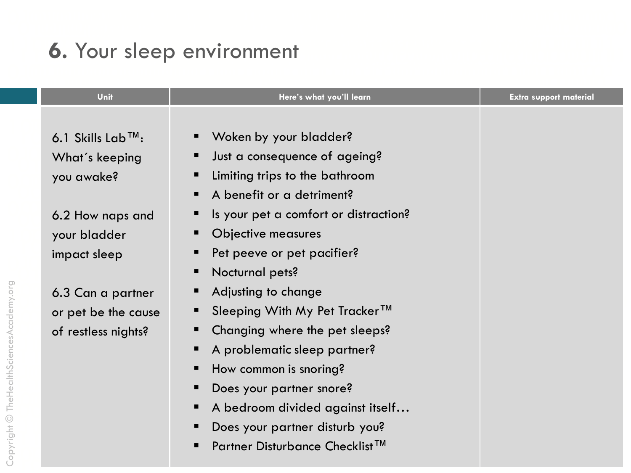#### 6. Your sleep environment

| Unit                                             | Here's what you'll learn                                                                                 | <b>Extra support material</b> |
|--------------------------------------------------|----------------------------------------------------------------------------------------------------------|-------------------------------|
| 6.1 Skills Lab <sup>TM</sup> :<br>What's keeping | Woken by your bladder?<br>п<br>Just a consequence of ageing?<br>п                                        |                               |
| you awake?                                       | Limiting trips to the bathroom<br>п<br>A benefit or a detriment?<br>п                                    |                               |
| 6.2 How naps and<br>your bladder<br>impact sleep | Is your pet a comfort or distraction?<br>п<br>Objective measures<br>п<br>Pet peeve or pet pacifier?<br>п |                               |
| 6.3 Can a partner                                | Nocturnal pets?<br>п<br>Adjusting to change<br>п                                                         |                               |
| or pet be the cause<br>of restless nights?       | Sleeping With My Pet Tracker™<br>п<br>Changing where the pet sleeps?<br>ш                                |                               |
|                                                  | A problematic sleep partner?<br>п<br>How common is snoring?<br>п<br>п                                    |                               |
|                                                  | Does your partner snore?<br>A bedroom divided against itself<br>п<br>Does your partner disturb you?<br>п |                               |
|                                                  | Partner Disturbance Checklist <sup>™</sup>                                                               |                               |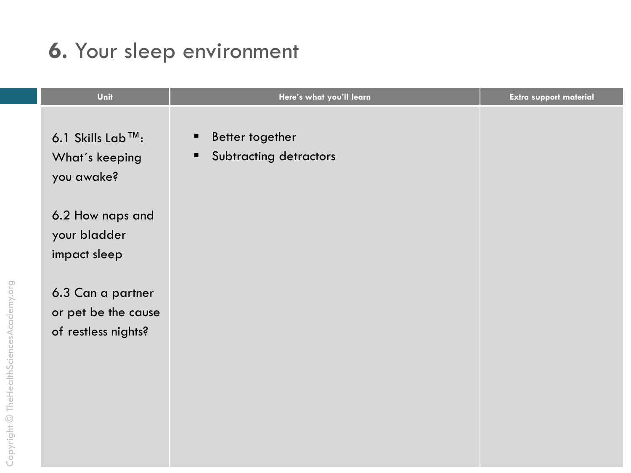### 6. Your sleep environment

| Unit                                                            | Here's what you'll learn                                         | Extra support material |
|-----------------------------------------------------------------|------------------------------------------------------------------|------------------------|
| 6.1 Skills Lab <sup>™</sup> :<br>What's keeping<br>you awake?   | Better together<br>п<br>Subtracting detractors<br>$\blacksquare$ |                        |
| 6.2 How naps and<br>your bladder<br>impact sleep                |                                                                  |                        |
| 6.3 Can a partner<br>or pet be the cause<br>of restless nights? |                                                                  |                        |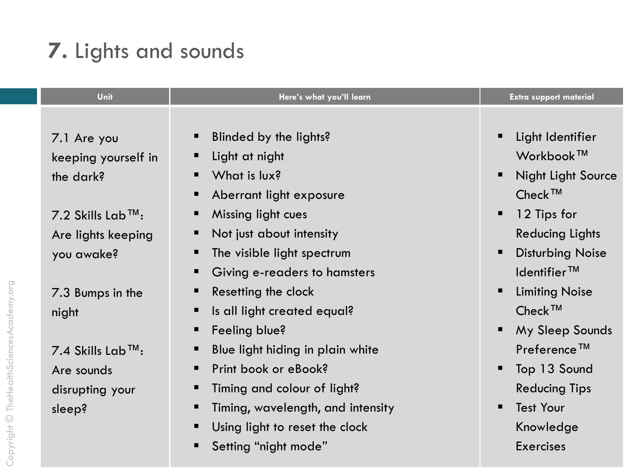# 7. Lights and sounds

| Unit                          | Here's what you'll learn               | <b>Extra support material</b>  |
|-------------------------------|----------------------------------------|--------------------------------|
|                               |                                        |                                |
| 7.1 Are you                   | Blinded by the lights?                 | Light Identifier               |
| keeping yourself in           | Light at night<br>п                    | Workbook™                      |
| the dark?                     | What is lux?                           | <b>Night Light Source</b><br>п |
|                               | Aberrant light exposure                | $Check^{TM}$                   |
| 7.2 Skills Lab <sup>™</sup> : | Missing light cues<br>ш                | 12 Tips for<br>п               |
| Are lights keeping            | Not just about intensity               | <b>Reducing Lights</b>         |
| you awake?                    | The visible light spectrum             | <b>Disturbing Noise</b><br>п   |
|                               | Giving e-readers to hamsters<br>п      | $Id$ entifier $TM$             |
| 7.3 Bumps in the              | Resetting the clock<br>ш               | <b>Limiting Noise</b><br>п     |
| night                         | Is all light created equal?<br>п       | Check <sup>™</sup>             |
|                               | Feeling blue?<br>п                     | My Sleep Sounds                |
| 7.4 Skills Lab <sup>™</sup> : | Blue light hiding in plain white<br>п  | Preference <sup>™</sup>        |
| Are sounds                    | Print book or eBook?<br>п              | Top 13 Sound                   |
| disrupting your               | Timing and colour of light?<br>п       | <b>Reducing Tips</b>           |
| sleep?                        | Timing, wavelength, and intensity<br>ш | <b>Test Your</b><br>п          |
|                               | Using light to reset the clock         | Knowledge                      |
|                               | Setting "night mode"                   | <b>Exercises</b>               |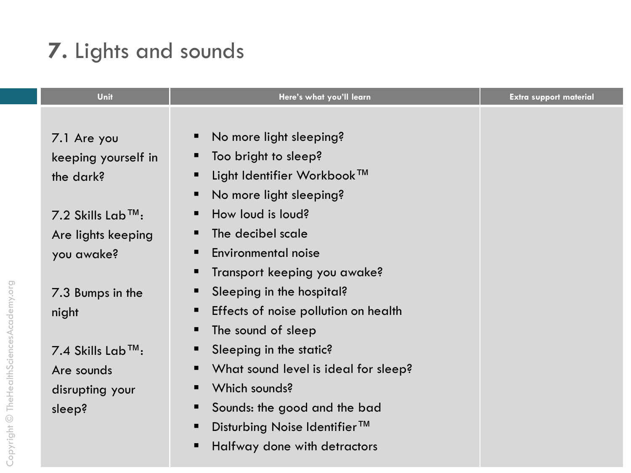# 7. Lights and sounds

| Unit                             | Here's what you'll learn                      | <b>Extra support material</b> |
|----------------------------------|-----------------------------------------------|-------------------------------|
|                                  |                                               |                               |
| 7.1 Are you                      | No more light sleeping?<br>п                  |                               |
| keeping yourself in              | Too bright to sleep?<br>ш                     |                               |
| the dark?                        | Light Identifier Workbook™<br>п               |                               |
|                                  | No more light sleeping?<br>п                  |                               |
| $7.2$ Skills Lab <sup>TM</sup> : | How loud is loud?<br>п                        |                               |
| Are lights keeping               | The decibel scale<br>п                        |                               |
| you awake?                       | Environmental noise<br>п                      |                               |
|                                  | Transport keeping you awake?<br>п             |                               |
| 7.3 Bumps in the                 | Sleeping in the hospital?<br>п                |                               |
| night                            | Effects of noise pollution on health<br>п     |                               |
|                                  | The sound of sleep<br>п                       |                               |
| 7.4 Skills Lab <sup>TM</sup> :   | Sleeping in the static?<br>п                  |                               |
| Are sounds                       | What sound level is ideal for sleep?<br>п     |                               |
| disrupting your                  | Which sounds?<br>п                            |                               |
| sleep?                           | Sounds: the good and the bad<br>п             |                               |
|                                  | Disturbing Noise Identifier <sup>™</sup><br>п |                               |
|                                  | Halfway done with detractors<br>п             |                               |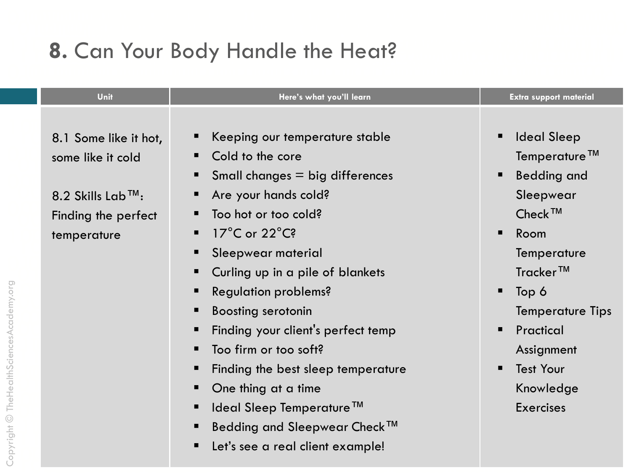#### 8. Can Your Body Handle the Heat?

| Unit<br>Here's what you'll learn                                                                                                                                                                                                                                                                                                                                                                                                                                                                                                                                                                                                                                                                     | <b>Extra support material</b>                                                                                                                                                                                                               |
|------------------------------------------------------------------------------------------------------------------------------------------------------------------------------------------------------------------------------------------------------------------------------------------------------------------------------------------------------------------------------------------------------------------------------------------------------------------------------------------------------------------------------------------------------------------------------------------------------------------------------------------------------------------------------------------------------|---------------------------------------------------------------------------------------------------------------------------------------------------------------------------------------------------------------------------------------------|
| Keeping our temperature stable<br>■<br>8.1 Some like it hot,<br>Cold to the core<br>some like it cold<br>Small changes $=$ big differences<br>■<br>Are your hands cold?<br>8.2 Skills Lab <sup>TM</sup> :<br>Too hot or too cold?<br>Finding the perfect<br>$17^{\circ}$ C or $22^{\circ}$ C?<br>$\blacksquare$<br>temperature<br>Sleepwear material<br>Curling up in a pile of blankets<br>Regulation problems?<br>п<br><b>Boosting serotonin</b><br>Finding your client's perfect temp<br>■<br>Too firm or too soft?<br>Finding the best sleep temperature<br>■<br>One thing at a time<br>Ideal Sleep Temperature <sup>™</sup><br>Bedding and Sleepwear Check™<br>Let's see a real client example! | <b>Ideal Sleep</b><br>Temperature™<br><b>Bedding and</b><br>Sleepwear<br>$Check^{TM}$<br>Room<br>Temperature<br>$Traceer^{TM}$<br>Top 6<br>Temperature Tip:<br>Practical<br>Assignment<br><b>Test Your</b><br>Knowledge<br><b>Exercises</b> |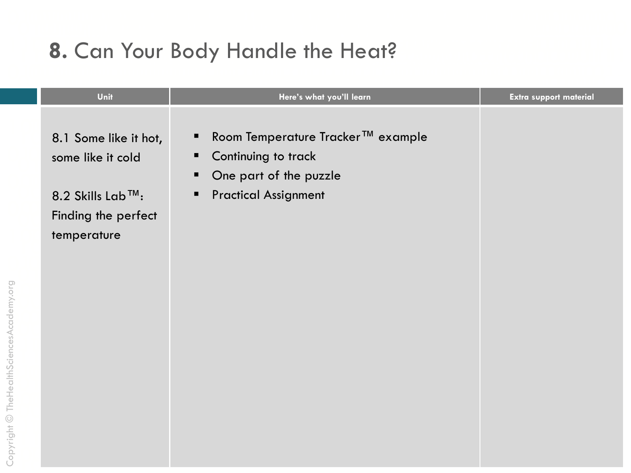#### 8. Can Your Body Handle the Heat?

| Unit                                                                                                 | Here's what you'll learn                                                                                                              | <b>Extra support material</b> |
|------------------------------------------------------------------------------------------------------|---------------------------------------------------------------------------------------------------------------------------------------|-------------------------------|
| 8.1 Some like it hot,<br>some like it cold<br>8.2 Skills Lab™:<br>Finding the perfect<br>temperature | Room Temperature Tracker™ example<br>п<br>Continuing to track<br>п<br>One part of the puzzle<br>п<br><b>Practical Assignment</b><br>٠ |                               |
|                                                                                                      |                                                                                                                                       |                               |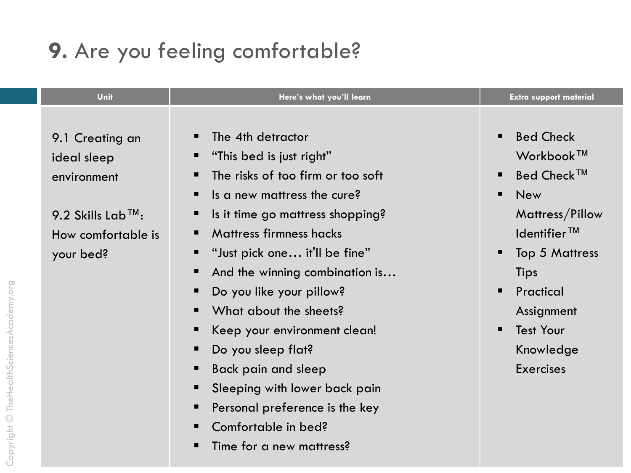# 9. Are you feeling comfortable?

| Unit                           | Here's what you'll learn                 | <b>Extra support material</b>      |
|--------------------------------|------------------------------------------|------------------------------------|
|                                |                                          |                                    |
| 9.1 Creating an                | The 4th detractor                        | <b>Bed Check</b><br>$\blacksquare$ |
| ideal sleep                    | "This bed is just right"                 | Workbook™                          |
| environment                    | The risks of too firm or too soft<br>п   | <b>Bed Check™</b>                  |
|                                | Is a new mattress the cure?<br>п         | <b>New</b>                         |
| 9.2 Skills Lab <sup>TM</sup> : | Is it time go mattress shopping?         | Mattress/Pillow                    |
| How comfortable is             | <b>Mattress firmness hacks</b>           | $Id$ entifier $TM$                 |
| your bed?                      | "Just pick one it'll be fine"<br>ш       | <b>Top 5 Mattress</b>              |
|                                | And the winning combination is           | Tips                               |
|                                | Do you like your pillow?<br>п            | Practical<br>▪                     |
|                                | What about the sheets?<br>$\blacksquare$ | Assignment                         |
|                                | Keep your environment clean!<br>п        | <b>Test Your</b><br>■              |
|                                | Do you sleep flat?<br>п                  | Knowledge                          |
|                                | Back pain and sleep<br>п                 | <b>Exercises</b>                   |
|                                | Sleeping with lower back pain            |                                    |
|                                | Personal preference is the key<br>п      |                                    |
|                                | Comfortable in bed?                      |                                    |
|                                | Time for a new mattress?                 |                                    |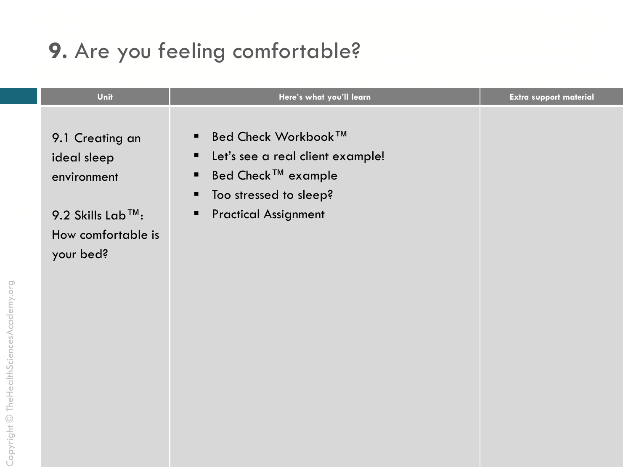# 9. Are you feeling comfortable?

| Unit                                                                                                 | Here's what you'll learn                                                                                                                                                     | <b>Extra support material</b> |
|------------------------------------------------------------------------------------------------------|------------------------------------------------------------------------------------------------------------------------------------------------------------------------------|-------------------------------|
| 9.1 Creating an<br>ideal sleep<br>environment<br>9.2 Skills Lab™:<br>How comfortable is<br>your bed? | Bed Check Workbook™<br>$\blacksquare$<br>Let's see a real client example!<br>п<br>Bed Check™ example<br>п<br>Too stressed to sleep?<br>п<br><b>Practical Assignment</b><br>п |                               |
|                                                                                                      |                                                                                                                                                                              |                               |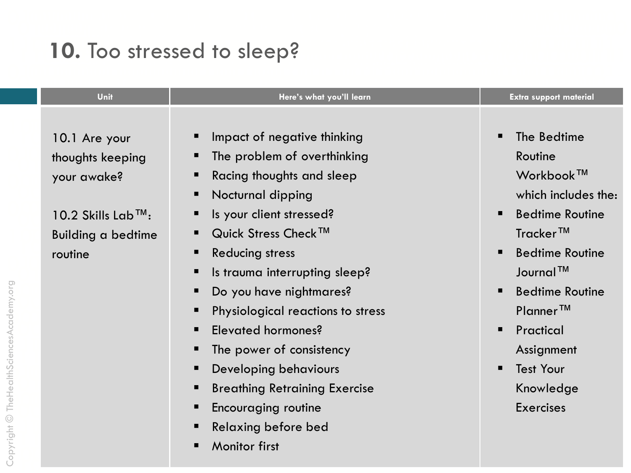# 10. Too stressed to sleep?

| Impact of negative thinking<br>п<br>10.1 Are your<br>The problem of overthinking<br>п<br>thoughts keeping<br>Racing thoughts and sleep<br>п<br>your awake?<br>Nocturnal dipping<br>п<br>Is your client stressed?<br>$10.2$ Skills Lab <sup>TM</sup> :<br>п<br>Quick Stress Check <sup>™</sup><br>$\blacksquare$<br><b>Building a bedtime</b><br><b>Reducing stress</b><br>п<br>routine<br>Is trauma interrupting sleep?<br>п<br>Do you have nightmares?<br>п<br>Physiological reactions to stress<br>п<br>Elevated hormones?<br>п<br>The power of consistency<br>п<br>Developing behaviours<br>п<br><b>Breathing Retraining Exercise</b><br>п<br><b>Encouraging routine</b><br>п | The Bedtime<br>Routine<br>Workbook <sup>™</sup><br>which includes the<br><b>Bedtime Routine</b><br>Tracker™<br><b>Bedtime Routine</b><br>Journal <sup>TM</sup><br><b>Bedtime Routine</b><br>Planner <sup>™</sup><br>Practical<br>Assignment<br><b>Test Your</b><br>Knowledge<br><b>Exercises</b> |
|----------------------------------------------------------------------------------------------------------------------------------------------------------------------------------------------------------------------------------------------------------------------------------------------------------------------------------------------------------------------------------------------------------------------------------------------------------------------------------------------------------------------------------------------------------------------------------------------------------------------------------------------------------------------------------|--------------------------------------------------------------------------------------------------------------------------------------------------------------------------------------------------------------------------------------------------------------------------------------------------|

Monitor first

 $\blacksquare$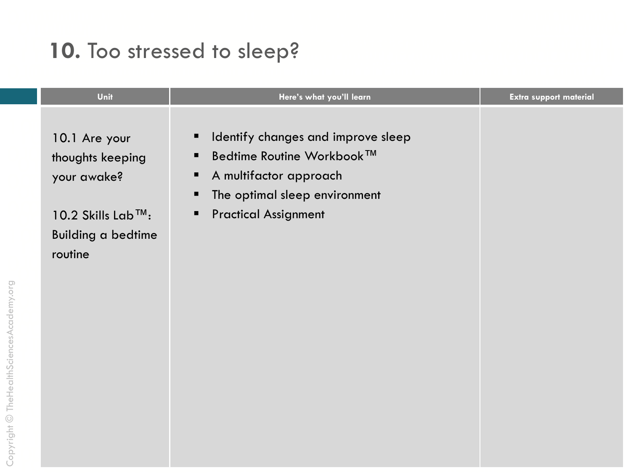# 10. Too stressed to sleep?

| Unit<br>Here's what you'll learn<br><b>Extra support material</b>                                                                                                                                                                                                                                   |  |
|-----------------------------------------------------------------------------------------------------------------------------------------------------------------------------------------------------------------------------------------------------------------------------------------------------|--|
| Identify changes and improve sleep<br>п<br>10.1 Are your<br>Bedtime Routine Workbook™<br>п<br>thoughts keeping<br>A multifactor approach<br>your awake?<br>п<br>The optimal sleep environment<br>п<br><b>Practical Assignment</b><br>10.2 Skills Lab™:<br>п<br><b>Building a bedtime</b><br>routine |  |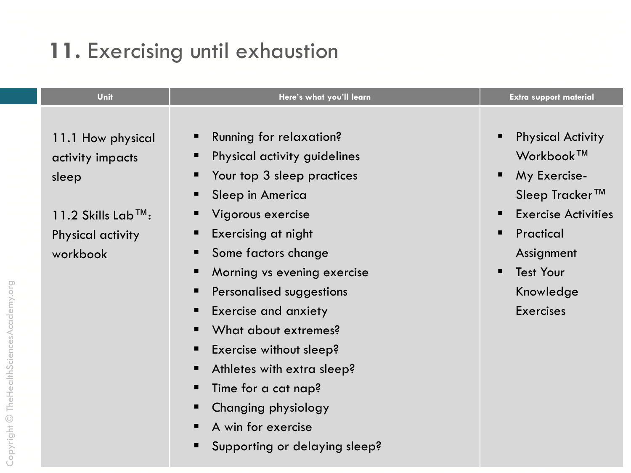### 11. Exercising until exhaustion

| Unit                                                                                                               | Here's what you'll learn                                                                                                                                                                                                                                                                                                                                                                                                         | <b>Extra support material</b>                                                                                                                                                                             |
|--------------------------------------------------------------------------------------------------------------------|----------------------------------------------------------------------------------------------------------------------------------------------------------------------------------------------------------------------------------------------------------------------------------------------------------------------------------------------------------------------------------------------------------------------------------|-----------------------------------------------------------------------------------------------------------------------------------------------------------------------------------------------------------|
| 11.1 How physical<br>activity impacts<br>sleep<br>11.2 Skills Lab <sup>TM</sup> :<br>Physical activity<br>workbook | Running for relaxation?<br>Physical activity guidelines<br>Your top 3 sleep practices<br>Sleep in America<br>Vigorous exercise<br>Exercising at night<br>Some factors change<br>Morning vs evening exercise<br>Personalised suggestions<br><b>Exercise and anxiety</b><br>ш<br>What about extremes?<br>Exercise without sleep?<br>Athletes with extra sleep?<br>Time for a cat nap?<br>Changing physiology<br>A win for exercise | <b>Physical Activity</b><br>п<br>Workbook™<br>My Exercise-<br>ш<br>Sleep Tracker™<br><b>Exercise Activities</b><br>Practical<br>■<br>Assignment<br><b>Test Your</b><br>■<br>Knowledge<br><b>Exercises</b> |

Supporting or delaying sleep?  $\blacksquare$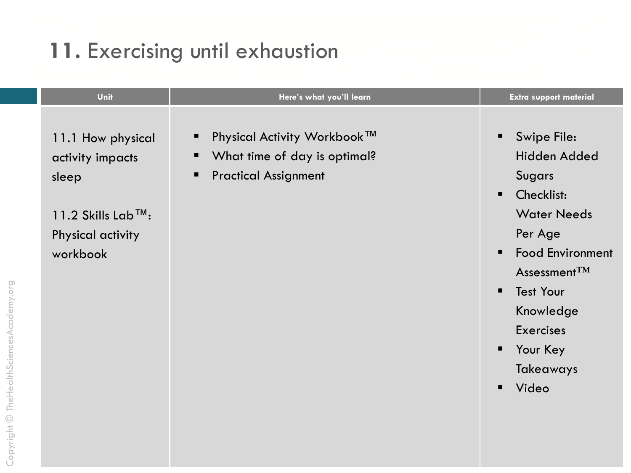# 11. Exercising until exhaustion

| Unit                                                                                                               | Here's what you'll learn                                                                   | <b>Extra support material</b>                                                                                                                                                                                                         |
|--------------------------------------------------------------------------------------------------------------------|--------------------------------------------------------------------------------------------|---------------------------------------------------------------------------------------------------------------------------------------------------------------------------------------------------------------------------------------|
| 11.1 How physical<br>activity impacts<br>sleep<br>11.2 Skills Lab <sup>TM</sup> :<br>Physical activity<br>workbook | Physical Activity Workbook™<br>What time of day is optimal?<br><b>Practical Assignment</b> | Swipe File:<br>Hidden Added<br><b>Sugars</b><br>Checklist:<br><b>Water Needs</b><br>Per Age<br><b>Food Environment</b><br>Assessment $TM$<br><b>Test Your</b><br>■<br>Knowledge<br><b>Exercises</b><br>Your Key<br>Takeaways<br>Video |
|                                                                                                                    |                                                                                            |                                                                                                                                                                                                                                       |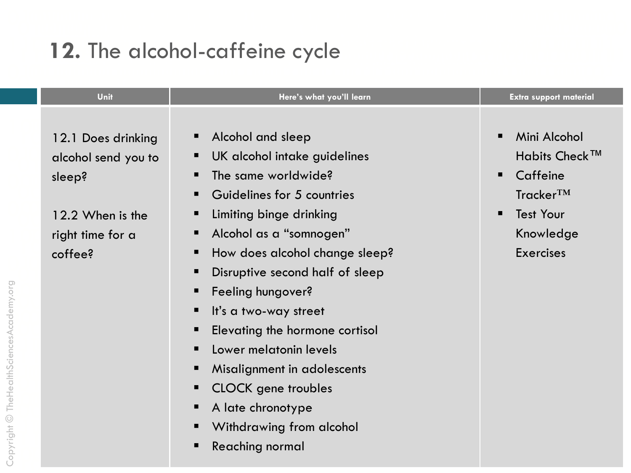# 12. The alcohol-caffeine cycle

| Unit<br>Here's what you'll learn                                                                                                                                                                                                                                                                                                                                                                                                                                                                                                                                                                                                                                       | <b>Extra support material</b>                                                                                                       |
|------------------------------------------------------------------------------------------------------------------------------------------------------------------------------------------------------------------------------------------------------------------------------------------------------------------------------------------------------------------------------------------------------------------------------------------------------------------------------------------------------------------------------------------------------------------------------------------------------------------------------------------------------------------------|-------------------------------------------------------------------------------------------------------------------------------------|
| Alcohol and sleep<br>$\blacksquare$<br>12.1 Does drinking<br>UK alcohol intake guidelines<br>ш<br>alcohol send you to<br>The same worldwide?<br>▪<br>sleep?<br>Guidelines for 5 countries<br>$\blacksquare$<br>Limiting binge drinking<br>12.2 When is the<br>Alcohol as a "somnogen"<br>ш<br>right time for a<br>How does alcohol change sleep?<br>coffee?<br>п<br>Disruptive second half of sleep<br>п<br>Feeling hungover?<br>п<br>It's a two-way street<br>Elevating the hormone cortisol<br>Lower melatonin levels<br>$\blacksquare$<br>Misalignment in adolescents<br>п<br><b>CLOCK</b> gene troubles<br>ш<br>A late chronotype<br>п<br>Withdrawing from alcohol | Mini Alcohol<br>Habits Check <sup>™</sup><br>Caffeine<br>Tracker <sup>TM</sup><br><b>Test Your</b><br>Knowledge<br><b>Exercises</b> |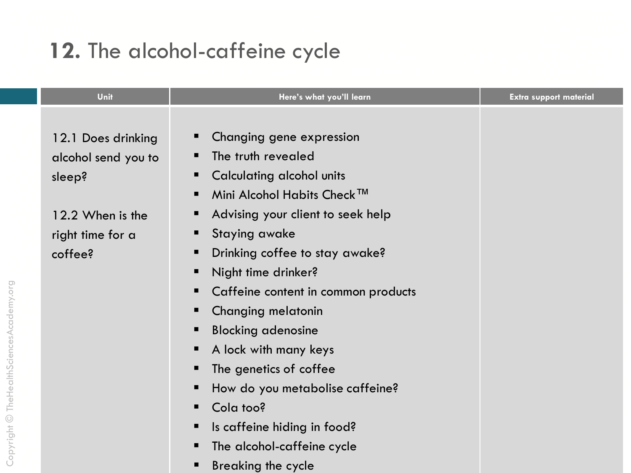### 12. The alcohol-caffeine cycle

| Unit                | Here's what you'll learn                 | <b>Extra support material</b> |
|---------------------|------------------------------------------|-------------------------------|
|                     |                                          |                               |
| 12.1 Does drinking  | Changing gene expression<br>ш            |                               |
| alcohol send you to | The truth revealed                       |                               |
| sleep?              | Calculating alcohol units<br>п           |                               |
|                     | Mini Alcohol Habits Check™<br>п          |                               |
| 12.2 When is the    | Advising your client to seek help<br>ш   |                               |
| right time for a    | <b>Staying awake</b><br>п                |                               |
| coffee?             | Drinking coffee to stay awake?<br>п      |                               |
|                     | Night time drinker?<br>п                 |                               |
|                     | Caffeine content in common products<br>п |                               |
|                     | Changing melatonin<br>п                  |                               |
|                     | <b>Blocking adenosine</b><br>п           |                               |
|                     | A lock with many keys<br>п               |                               |
|                     | The genetics of coffee<br>Е              |                               |
|                     | How do you metabolise caffeine?<br>п     |                               |
|                     | Cola too?<br>п                           |                               |
|                     | Is caffeine hiding in food?<br>п         |                               |
|                     | The alcohol-caffeine cycle<br>Е          |                               |
|                     | Breaking the cycle                       |                               |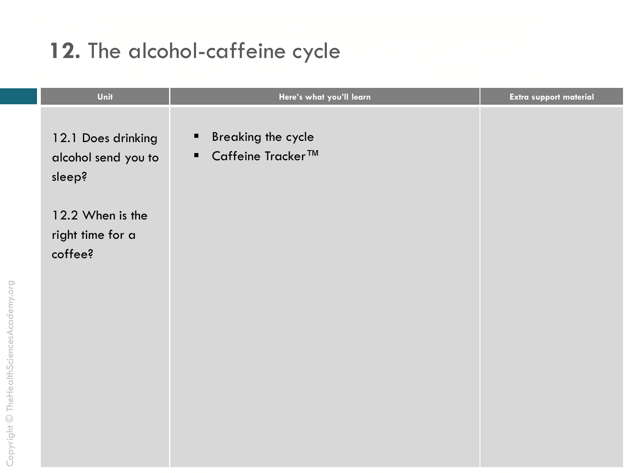#### 12. The alcohol-caffeine cycle

| Unit                                                | Here's what you'll learn                                              | Extra support material |
|-----------------------------------------------------|-----------------------------------------------------------------------|------------------------|
| 12.1 Does drinking<br>alcohol send you to<br>sleep? | <b>Breaking the cycle</b><br>٠<br>Caffeine Tracker™<br>$\blacksquare$ |                        |
| 12.2 When is the<br>right time for a<br>coffee?     |                                                                       |                        |
|                                                     |                                                                       |                        |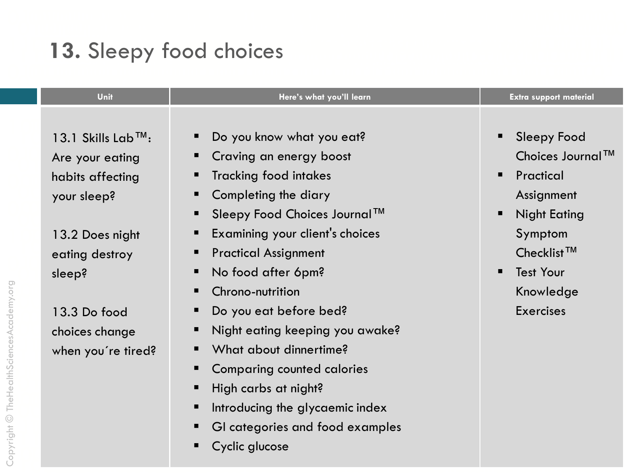# 13. Sleepy food choices

| Unit                                                                                                                                 | Here's what you'll learn                                                                                                                                                                                                                                                                              | <b>Extra support material</b>                                                                                                                                  |
|--------------------------------------------------------------------------------------------------------------------------------------|-------------------------------------------------------------------------------------------------------------------------------------------------------------------------------------------------------------------------------------------------------------------------------------------------------|----------------------------------------------------------------------------------------------------------------------------------------------------------------|
| 13.1 Skills Lab <sup>TM</sup> :<br>Are your eating<br>habits affecting<br>your sleep?<br>13.2 Does night<br>eating destroy<br>sleep? | Do you know what you eat?<br>ш<br>Craving an energy boost<br>п<br><b>Tracking food intakes</b><br>п<br>Completing the diary<br>п<br>Sleepy Food Choices Journal™<br>п<br>Examining your client's choices<br>п<br><b>Practical Assignment</b><br>п<br>No food after 6pm?<br>п<br>Chrono-nutrition<br>п | <b>Sleepy Food</b><br>Choices Journal™<br>Practical<br>Assignment<br><b>Night Eating</b><br>Symptom<br>Checklist <sup>™</sup><br><b>Test Your</b><br>Knowledge |
| 13.3 Do food<br>choices change<br>when you're tired?                                                                                 | Do you eat before bed?<br>п<br>Night eating keeping you awake?<br>п<br>What about dinnertime?<br>п<br><b>Comparing counted calories</b><br>п<br>High carbs at night?<br>п<br>Introducing the glycaemic index<br>п<br>GI categories and food examples<br>п<br>Cyclic glucose<br>п                      | <b>Exercises</b>                                                                                                                                               |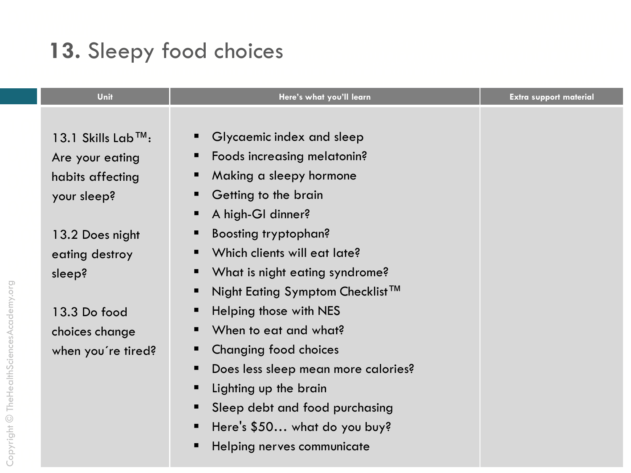# 13. Sleepy food choices

| Unit                            | Here's what you'll learn                         | <b>Extra support material</b> |
|---------------------------------|--------------------------------------------------|-------------------------------|
|                                 |                                                  |                               |
| 13.1 Skills Lab <sup>TM</sup> : | Glycaemic index and sleep<br>$\blacksquare$      |                               |
| Are your eating                 | Foods increasing melatonin?                      |                               |
| habits affecting                | Making a sleepy hormone                          |                               |
| your sleep?                     | Getting to the brain                             |                               |
|                                 | A high-GI dinner?<br>п                           |                               |
| 13.2 Does night                 | <b>Boosting tryptophan?</b>                      |                               |
| eating destroy                  | Which clients will eat late?                     |                               |
| sleep?                          | What is night eating syndrome?                   |                               |
|                                 | Night Eating Symptom Checklist <sup>™</sup><br>п |                               |
| 13.3 Do food                    | Helping those with NES                           |                               |
| choices change                  | When to eat and what?                            |                               |
| when you're tired?              | Changing food choices                            |                               |
|                                 | Does less sleep mean more calories?              |                               |
|                                 | Lighting up the brain                            |                               |
|                                 | Sleep debt and food purchasing                   |                               |
|                                 | Here's \$50 what do you buy?<br>п                |                               |
|                                 | Helping nerves communicate                       |                               |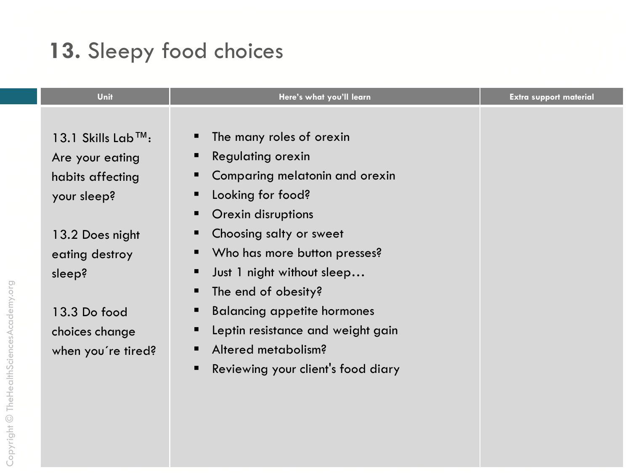# 13. Sleepy food choices

| Unit                                                                                                                                 | Here's what you'll learn                                                                                                                                                                                                                            | <b>Extra support material</b> |
|--------------------------------------------------------------------------------------------------------------------------------------|-----------------------------------------------------------------------------------------------------------------------------------------------------------------------------------------------------------------------------------------------------|-------------------------------|
| 13.1 Skills Lab <sup>TM</sup> :<br>Are your eating<br>habits affecting<br>your sleep?<br>13.2 Does night<br>eating destroy<br>sleep? | The many roles of orexin<br>ш<br><b>Regulating orexin</b><br>ш<br>Comparing melatonin and orexin<br>Looking for food?<br>п<br>Orexin disruptions<br>П<br>Choosing salty or sweet<br>Who has more button presses?<br>Just 1 night without sleep<br>п |                               |
| 13.3 Do food<br>choices change<br>when you're tired?                                                                                 | The end of obesity?<br>п<br><b>Balancing appetite hormones</b><br>п<br>Leptin resistance and weight gain<br>ш<br>Altered metabolism?<br>■<br>Reviewing your client's food diary<br>п                                                                |                               |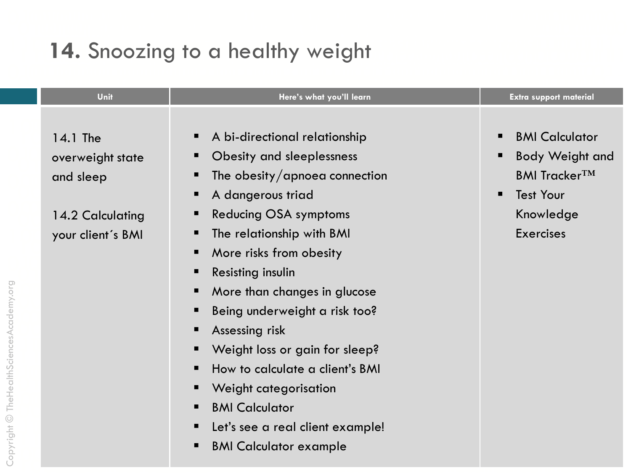#### 14. Snoozing to a healthy weight

| Unit<br>Here's what you'll learn                                                                                                                                                                                                                                                                                                                                                                                                                                                                                                                                                                                                                                                        | <b>Extra support material</b>                                                                                                |
|-----------------------------------------------------------------------------------------------------------------------------------------------------------------------------------------------------------------------------------------------------------------------------------------------------------------------------------------------------------------------------------------------------------------------------------------------------------------------------------------------------------------------------------------------------------------------------------------------------------------------------------------------------------------------------------------|------------------------------------------------------------------------------------------------------------------------------|
| A bi-directional relationship<br>п<br>14.1 The<br>Obesity and sleeplessness<br>п<br>overweight state<br>The obesity/apnoea connection<br>п<br>and sleep<br>A dangerous triad<br>п<br><b>Reducing OSA symptoms</b><br>Е<br>14.2 Calculating<br>The relationship with BMI<br>п<br>your client's BMI<br>More risks from obesity<br>п<br>Resisting insulin<br>п<br>More than changes in glucose<br>п<br>Being underweight a risk too?<br>п<br>Assessing risk<br>п<br>Weight loss or gain for sleep?<br>Е<br>How to calculate a client's BMI<br>Е<br>Weight categorisation<br>п<br><b>BMI Calculator</b><br>п<br>Let's see a real client example!<br>п<br><b>BMI Calculator example</b><br>п | <b>BMI Calculator</b><br><b>Body Weight and</b><br><b>BMI TrackerTM</b><br><b>Test Your</b><br>Knowledge<br><b>Exercises</b> |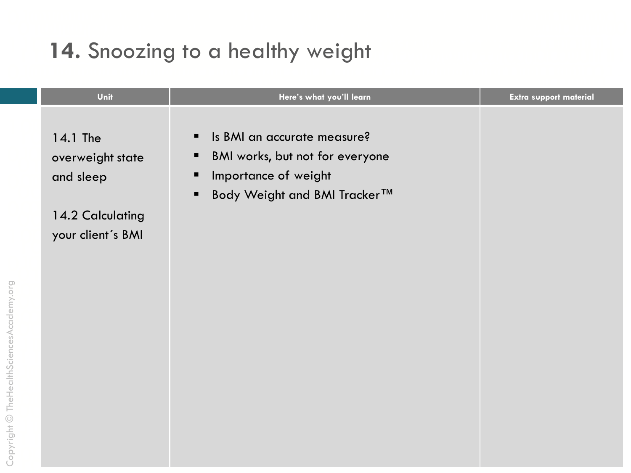#### 14. Snoozing to a healthy weight

| Unit                                      | Here's what you'll learn                                                                                                                                | <b>Extra support material</b> |
|-------------------------------------------|---------------------------------------------------------------------------------------------------------------------------------------------------------|-------------------------------|
| 14.1 The<br>overweight state<br>and sleep | Is BMI an accurate measure?<br>٠<br>BMI works, but not for everyone<br>п<br>Importance of weight<br>п<br>Body Weight and BMI Tracker™<br>$\blacksquare$ |                               |
| 14.2 Calculating<br>your client's BMI     |                                                                                                                                                         |                               |
|                                           |                                                                                                                                                         |                               |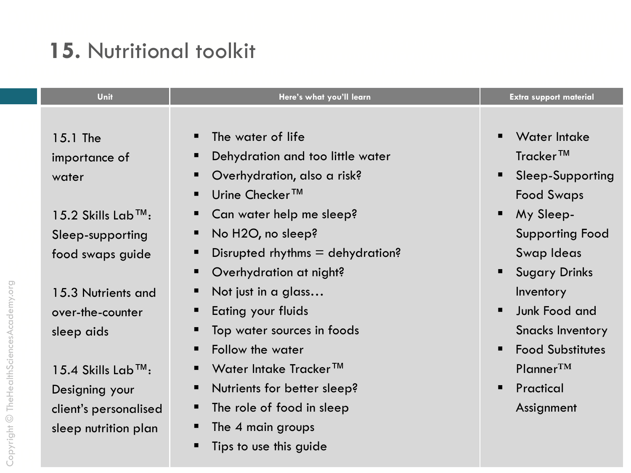# 15. Nutritional toolkit

| Unit                                                                                                 | Here's what you'll learn                                                                                                                                               | <b>Extra support material</b>                                                               |
|------------------------------------------------------------------------------------------------------|------------------------------------------------------------------------------------------------------------------------------------------------------------------------|---------------------------------------------------------------------------------------------|
| 15.1 The<br>importance of<br>water                                                                   | The water of life<br>$\blacksquare$<br>Dehydration and too little water<br>п<br>Overhydration, also a risk?<br>п<br>Urine Checker <sup>™</sup><br>п                    | <b>Water Intake</b><br>Tracker <sup>™</sup><br>Sleep-Supporting<br><b>Food Swaps</b>        |
| $15.2$ Skills Lab <sup>TM</sup> :<br>Sleep-supporting<br>food swaps guide                            | Can water help me sleep?<br>п<br>No H2O, no sleep?<br>п<br>Disrupted rhythms $=$ dehydration?<br>п<br>Overhydration at night?<br>п                                     | My Sleep-<br>$\blacksquare$<br><b>Supporting Food</b><br>Swap Ideas<br><b>Sugary Drinks</b> |
| 15.3 Nutrients and<br>over-the-counter<br>sleep aids                                                 | Not just in a glass<br>п<br>Eating your fluids<br>п<br>Top water sources in foods<br>п<br>Follow the water<br>п                                                        | Inventory<br>Junk Food and<br><b>Snacks Inventory</b><br><b>Food Substitutes</b>            |
| $15.4$ Skills Lab <sup>TM</sup> :<br>Designing your<br>client's personalised<br>sleep nutrition plan | Water Intake Tracker™<br>$\blacksquare$<br>Nutrients for better sleep?<br>п<br>The role of food in sleep<br>ш<br>The 4 main groups<br>п<br>Tips to use this guide<br>п | $Planner^{TM}$<br>Practical<br>Assignment                                                   |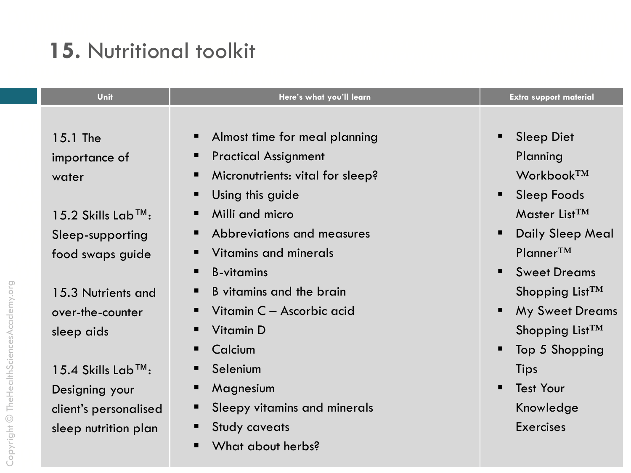# 15. Nutritional toolkit

| Unit                              | Here's what you'll learn                    | <b>Extra support material</b>        |
|-----------------------------------|---------------------------------------------|--------------------------------------|
|                                   |                                             |                                      |
| 15.1 The                          | Almost time for meal planning<br>п          | <b>Sleep Diet</b>                    |
| importance of                     | <b>Practical Assignment</b><br>ш            | Planning                             |
| water                             | Micronutrients: vital for sleep?<br>п       | Workbook <sup>TM</sup>               |
|                                   | Using this guide<br>п                       | <b>Sleep Foods</b><br>$\blacksquare$ |
| 15.2 Skills Lab™:                 | Milli and micro<br>п                        | Master List <sup>TM</sup>            |
| Sleep-supporting                  | Abbreviations and measures<br>п             | <b>Daily Sleep Meal</b>              |
| food swaps guide                  | Vitamins and minerals<br>$\blacksquare$     | $Planner^{TM}$                       |
|                                   | <b>B</b> -vitamins<br>п                     | <b>Sweet Dreams</b><br>п             |
| 15.3 Nutrients and                | B vitamins and the brain<br>п               | Shopping List $TM$                   |
| over-the-counter                  | Vitamin C - Ascorbic acid<br>$\blacksquare$ | <b>My Sweet Dreams</b>               |
| sleep aids                        | <b>Vitamin D</b><br>п                       | Shopping List <sup>TM</sup>          |
|                                   | Calcium<br>п                                | Top 5 Shopping                       |
| $15.4$ Skills Lab <sup>TM</sup> : | Selenium<br>п                               | Tips                                 |
| Designing your                    | Magnesium<br>п                              | <b>Test Your</b>                     |
| client's personalised             | Sleepy vitamins and minerals<br>п           | Knowledge                            |
| sleep nutrition plan              | <b>Study caveats</b><br>п                   | <b>Exercises</b>                     |
|                                   | What about herbs?<br>п                      |                                      |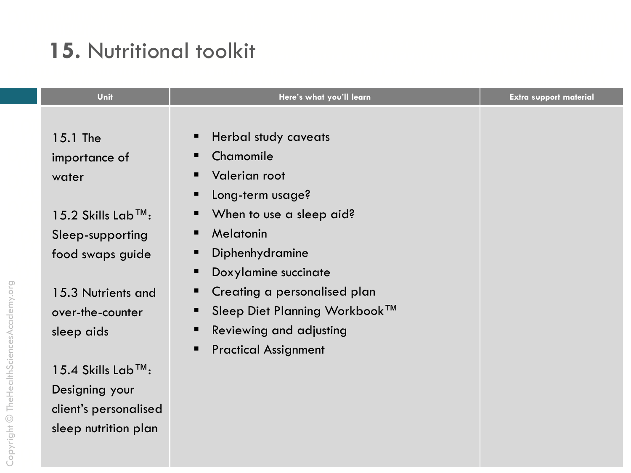# 15. Nutritional toolkit

| Unit                            | Here's what you'll learn               | <b>Extra support material</b> |
|---------------------------------|----------------------------------------|-------------------------------|
|                                 |                                        |                               |
| 15.1 The                        | Herbal study caveats<br>п              |                               |
| importance of                   | Chamomile<br>■                         |                               |
| water                           | <b>Valerian root</b><br>$\blacksquare$ |                               |
|                                 | Long-term usage?<br>п                  |                               |
| 15.2 Skills Lab <sup>TM</sup> : | When to use a sleep aid?<br>п          |                               |
| Sleep-supporting                | Melatonin<br>п                         |                               |
| food swaps guide                | Diphenhydramine<br>п                   |                               |
|                                 | Doxylamine succinate<br>п              |                               |
| 15.3 Nutrients and              | Creating a personalised plan<br>п      |                               |
| over-the-counter                | Sleep Diet Planning Workbook™<br>п     |                               |
| sleep aids                      | Reviewing and adjusting<br>п           |                               |
|                                 | <b>Practical Assignment</b><br>п       |                               |
| 15.4 Skills Lab <sup>™</sup> :  |                                        |                               |
| Designing your                  |                                        |                               |
| client's personalised           |                                        |                               |
| sleep nutrition plan            |                                        |                               |
|                                 |                                        |                               |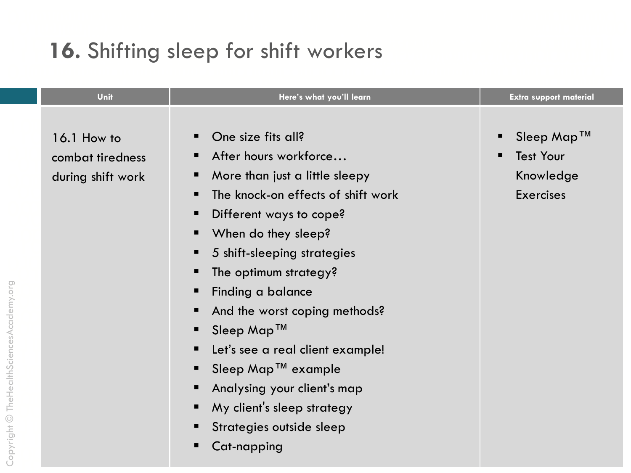# 16. Shifting sleep for shift workers

| Unit                                                 | Here's what you'll learn                                                                                                                                                                                                                                                                                                                                                                                                                                                                             | <b>Extra support material</b>                                                     |
|------------------------------------------------------|------------------------------------------------------------------------------------------------------------------------------------------------------------------------------------------------------------------------------------------------------------------------------------------------------------------------------------------------------------------------------------------------------------------------------------------------------------------------------------------------------|-----------------------------------------------------------------------------------|
| 16.1 How to<br>combat tiredness<br>during shift work | One size fits all?<br>After hours workforce<br>More than just a little sleepy<br>The knock-on effects of shift work<br>■<br>Different ways to cope?<br>п<br>When do they sleep?<br>5 shift-sleeping strategies<br>п<br>The optimum strategy?<br>Finding a balance<br>And the worst coping methods?<br>Sleep Map™<br>Let's see a real client example!<br>Sleep Map <sup>TM</sup> example<br>Analysing your client's map<br>My client's sleep strategy<br>Strategies outside sleep<br>Cat-napping<br>п | Sleep Map™<br><b>Test Your</b><br>$\blacksquare$<br>Knowledge<br><b>Exercises</b> |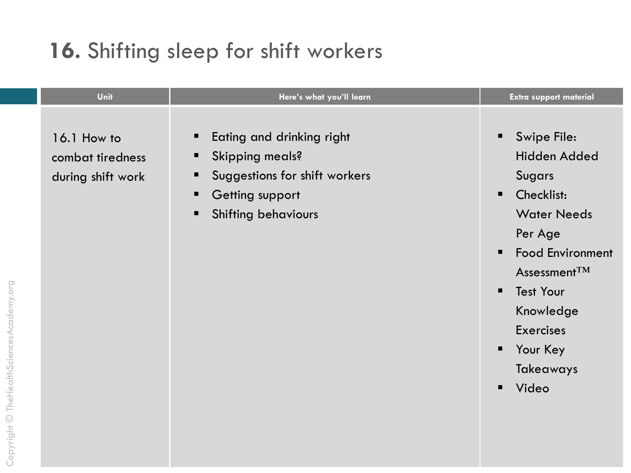# 16. Shifting sleep for shift workers

Copyright © TheHealthSciencesAcademy.org

| Unit<br>Here's what you'll learn<br><b>Extra support material</b>                                                                                                                                                                                                                                                                                                                                                                                                                                     |                                         |
|-------------------------------------------------------------------------------------------------------------------------------------------------------------------------------------------------------------------------------------------------------------------------------------------------------------------------------------------------------------------------------------------------------------------------------------------------------------------------------------------------------|-----------------------------------------|
| Swipe File:<br>Eating and drinking right<br>16.1 How to<br>п<br>ш<br><b>Skipping meals?</b><br>combat tiredness<br>ш<br>Suggestions for shift workers<br><b>Sugars</b><br>during shift work<br>ш<br>Checklist:<br><b>Getting support</b><br>$\blacksquare$<br>$\blacksquare$<br><b>Water Needs</b><br><b>Shifting behaviours</b><br>п<br>Per Age<br>Assessment $TM$<br><b>Test Your</b><br>Knowledge<br><b>Exercises</b><br>Your Key<br>$\blacksquare$<br><b>Takeaways</b><br>Video<br>$\blacksquare$ | Hidden Added<br><b>Food Environment</b> |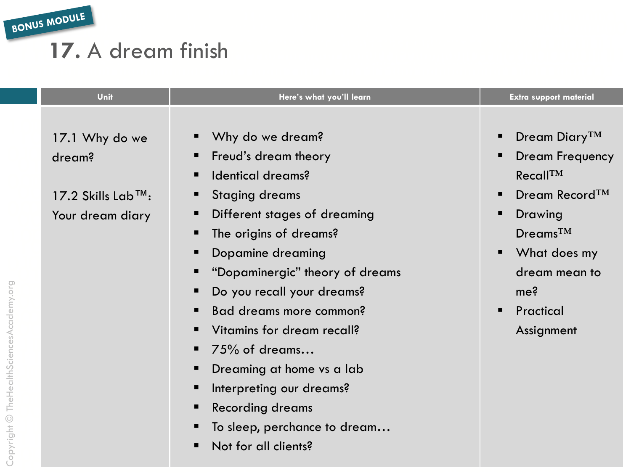BONUS MODULE

#### 17. A dream finish

| Unit                              | Here's what you'll learn        | <b>Extra support material</b>   |
|-----------------------------------|---------------------------------|---------------------------------|
|                                   |                                 |                                 |
| 17.1 Why do we                    | Why do we dream?                | Dream Diary <sup>TM</sup><br>п  |
| dream?                            | Freud's dream theory            | Dream Frequency<br>п            |
|                                   | Identical dreams?               | Recall <sup>TM</sup>            |
| $17.2$ Skills Lab <sup>TM</sup> : | <b>Staging dreams</b>           | Dream Record <sup>TM</sup><br>п |
| Your dream diary                  | Different stages of dreaming    | Drawing<br>п                    |
|                                   | The origins of dreams?          | $D$ reams <sup>TM</sup>         |
|                                   | Dopamine dreaming               | What does my<br>п               |
|                                   | "Dopaminergic" theory of dreams | dream mean to                   |
|                                   | Do you recall your dreams?      | me <sup>2</sup>                 |
|                                   | Bad dreams more common?         | Practical<br>п                  |
|                                   | Vitamins for dream recall?      | Assignment                      |
|                                   | 75% of dreams                   |                                 |
|                                   | Dreaming at home vs a lab       |                                 |
|                                   | Interpreting our dreams?        |                                 |
|                                   | <b>Recording dreams</b>         |                                 |
|                                   | To sleep, perchance to dream    |                                 |
|                                   | Not for all clients?            |                                 |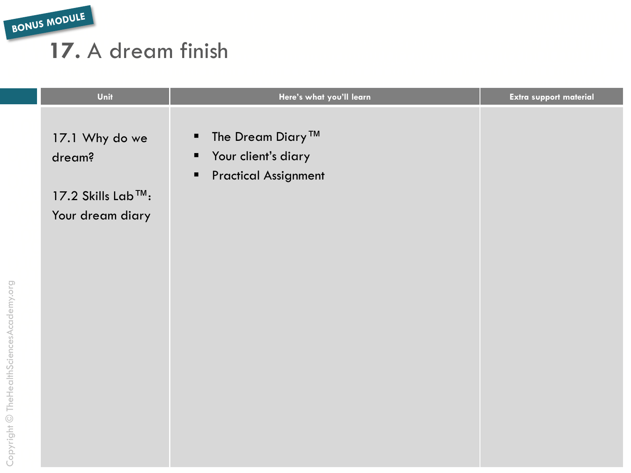BONUS MODULE

Copyright © TheHealthSciencesAcademy.org

#### 17. A dream finish

| Unit                                                              | Here's what you'll learn                                                                                   | Extra support material |
|-------------------------------------------------------------------|------------------------------------------------------------------------------------------------------------|------------------------|
| 17.1 Why do we<br>dream?<br>17.2 Skills Lab™:<br>Your dream diary | The Dream Diary™<br>Your client's diary<br>$\blacksquare$<br><b>Practical Assignment</b><br>$\blacksquare$ |                        |
|                                                                   |                                                                                                            |                        |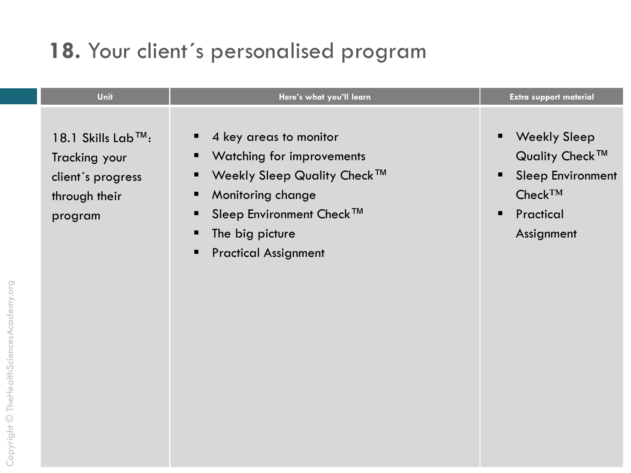#### 18. Your client's personalised program

| Unit<br>Here's what you'll learn<br><b>Extra support material</b>                                                                                                                                                                                                                                                                                                                                                                                                                          |  |
|--------------------------------------------------------------------------------------------------------------------------------------------------------------------------------------------------------------------------------------------------------------------------------------------------------------------------------------------------------------------------------------------------------------------------------------------------------------------------------------------|--|
| $\blacksquare$ 4 key areas to monitor<br><b>Weekly Sleep</b><br>18.1 Skills Lab™:<br>٠<br>Quality Check <sup>™</sup><br>• Watching for improvements<br>Tracking your<br><b>Weekly Sleep Quality Check™</b><br><b>Sleep Environment</b><br>$\blacksquare$<br>п<br>client's progress<br>$Check^{TM}$<br><b>Monitoring change</b><br>through their<br>Sleep Environment Check™<br>Practical<br>п<br>program<br>The big picture<br>Assignment<br><b>Practical Assignment</b><br>$\blacksquare$ |  |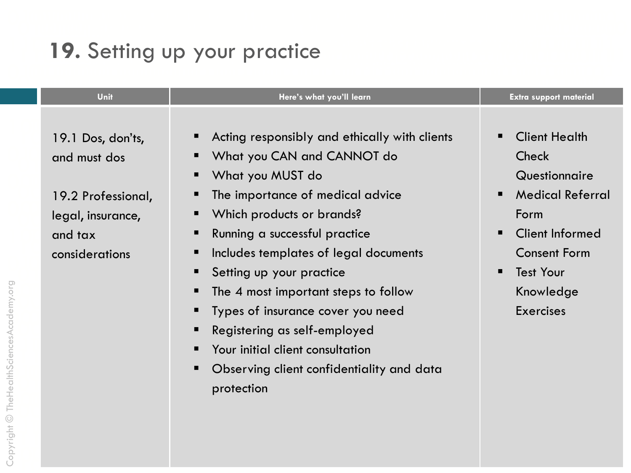# 19. Setting up your practice

| Unit                                                                                                      | Here's what you'll learn                                                                                                                                                                                                                                                                                                                                    | <b>Extra support material</b>                                                                                                                                            |
|-----------------------------------------------------------------------------------------------------------|-------------------------------------------------------------------------------------------------------------------------------------------------------------------------------------------------------------------------------------------------------------------------------------------------------------------------------------------------------------|--------------------------------------------------------------------------------------------------------------------------------------------------------------------------|
| 19.1 Dos, don'ts,<br>and must dos<br>19.2 Professional,<br>legal, insurance,<br>and tax<br>considerations | Acting responsibly and ethically with clients<br>ш<br>What you CAN and CANNOT do<br>п<br>What you MUST do<br>п<br>The importance of medical advice<br>п<br>Which products or brands?<br>п<br>Running a successful practice<br>п<br>Includes templates of legal documents<br>п<br>Setting up your practice<br>п<br>The 4 most important steps to follow<br>п | <b>Client Health</b><br>Check<br>Questionnaire<br><b>Medical Referral</b><br>Form<br><b>Client Informed</b><br>п<br><b>Consent Form</b><br><b>Test Your</b><br>Knowledge |
|                                                                                                           | Types of insurance cover you need<br>Registering as self-employed<br>п<br>Your initial client consultation<br>$\blacksquare$                                                                                                                                                                                                                                | <b>Exercises</b>                                                                                                                                                         |
|                                                                                                           | Observing client confidentiality and data<br>п<br>protection                                                                                                                                                                                                                                                                                                |                                                                                                                                                                          |